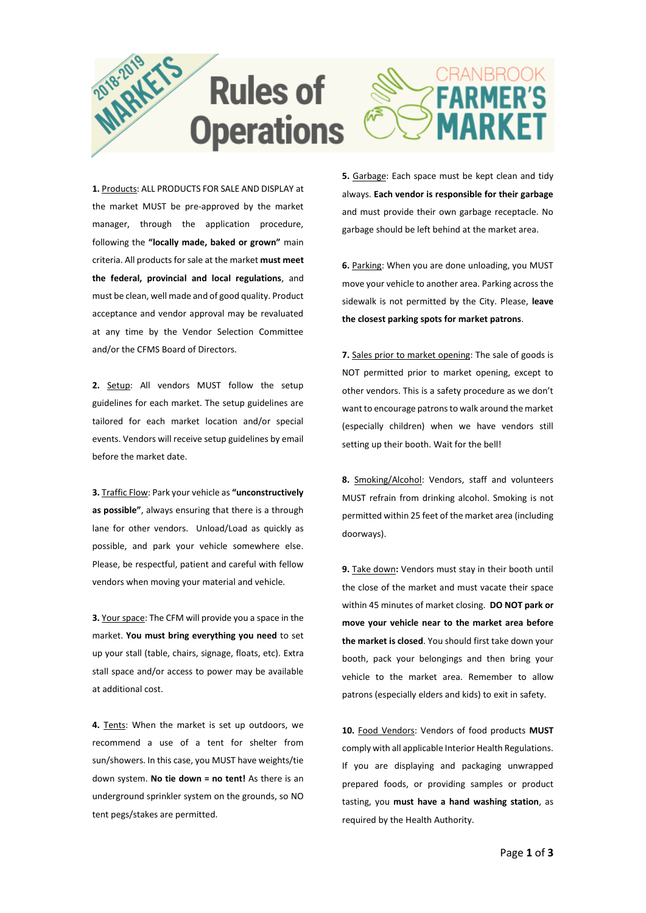

**1.** Products: ALL PRODUCTS FOR SALE AND DISPLAY at the market MUST be pre-approved by the market manager, through the application procedure, following the **"locally made, baked or grown"** main criteria. All products for sale at the market **must meet the federal, provincial and local regulations**, and must be clean, well made and of good quality. Product acceptance and vendor approval may be revaluated at any time by the Vendor Selection Committee and/or the CFMS Board of Directors.

**2.** Setup: All vendors MUST follow the setup guidelines for each market. The setup guidelines are tailored for each market location and/or special events. Vendors will receive setup guidelines by email before the market date.

**3.** Traffic Flow: Park your vehicle as **"unconstructively as possible"**, always ensuring that there is a through lane for other vendors. Unload/Load as quickly as possible, and park your vehicle somewhere else. Please, be respectful, patient and careful with fellow vendors when moving your material and vehicle.

**3.** Your space: The CFM will provide you a space in the market. **You must bring everything you need** to set up your stall (table, chairs, signage, floats, etc). Extra stall space and/or access to power may be available at additional cost.

**4.** Tents: When the market is set up outdoors, we recommend a use of a tent for shelter from sun/showers. In this case, you MUST have weights/tie down system. **No tie down = no tent!** As there is an underground sprinkler system on the grounds, so NO tent pegs/stakes are permitted.

**5.** Garbage: Each space must be kept clean and tidy always. **Each vendor is responsible for their garbage** and must provide their own garbage receptacle. No garbage should be left behind at the market area.

**6.** Parking: When you are done unloading, you MUST move your vehicle to another area. Parking across the sidewalk is not permitted by the City. Please, **leave the closest parking spots for market patrons**.

**7.** Sales prior to market opening: The sale of goods is NOT permitted prior to market opening, except to other vendors. This is a safety procedure as we don't want to encourage patrons to walk around the market (especially children) when we have vendors still setting up their booth. Wait for the bell!

**8.** Smoking/Alcohol: Vendors, staff and volunteers MUST refrain from drinking alcohol. Smoking is not permitted within 25 feet of the market area (including doorways).

**9.** Take down**:** Vendors must stay in their booth until the close of the market and must vacate their space within 45 minutes of market closing. **DO NOT park or move your vehicle near to the market area before the market is closed**. You should first take down your booth, pack your belongings and then bring your vehicle to the market area. Remember to allow patrons (especially elders and kids) to exit in safety.

**10.** Food Vendors: Vendors of food products **MUST**  comply with all applicable Interior Health Regulations. If you are displaying and packaging unwrapped prepared foods, or providing samples or product tasting, you **must have a hand washing station**, as required by the Health Authority.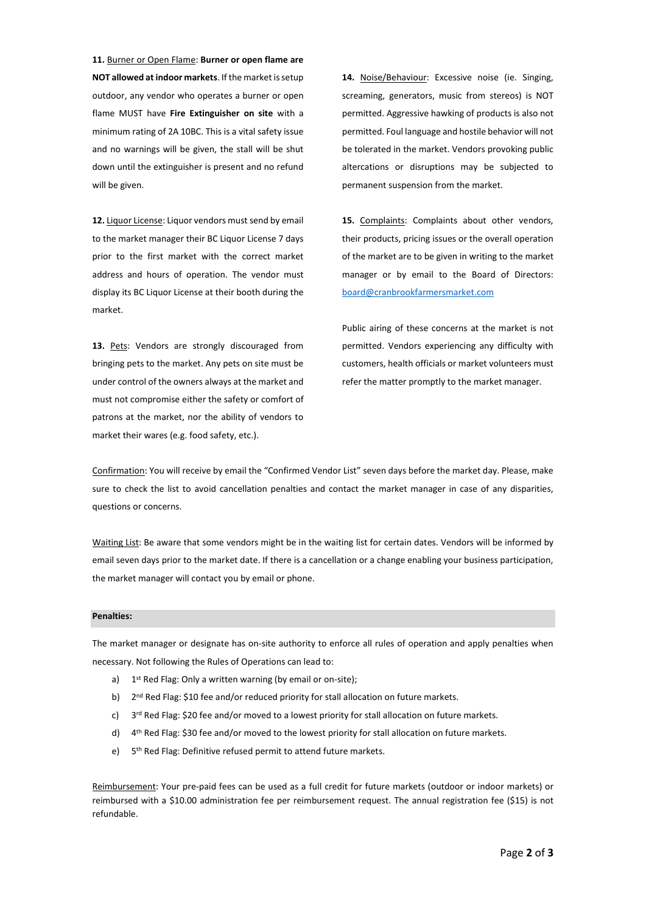**11.** Burner or Open Flame: **Burner or open flame are NOT allowed at indoor markets**. If the market is setup outdoor, any vendor who operates a burner or open flame MUST have **Fire Extinguisher on site** with a minimum rating of 2A 10BC. This is a vital safety issue and no warnings will be given, the stall will be shut down until the extinguisher is present and no refund will be given.

**12.** Liquor License: Liquor vendors must send by email to the market manager their BC Liquor License 7 days prior to the first market with the correct market address and hours of operation. The vendor must display its BC Liquor License at their booth during the market.

**13.** Pets: Vendors are strongly discouraged from bringing pets to the market. Any pets on site must be under control of the owners always at the market and must not compromise either the safety or comfort of patrons at the market, nor the ability of vendors to market their wares (e.g. food safety, etc.).

**14.** Noise/Behaviour: Excessive noise (ie. Singing, screaming, generators, music from stereos) is NOT permitted. Aggressive hawking of products is also not permitted. Foul language and hostile behavior will not be tolerated in the market. Vendors provoking public altercations or disruptions may be subjected to permanent suspension from the market.

**15.** Complaints: Complaints about other vendors, their products, pricing issues or the overall operation of the market are to be given in writing to the market manager or by email to the Board of Directors: [board@cranbrookfarmersmarket.com](mailto:board@cranbrookfarmersmarket.com)

Public airing of these concerns at the market is not permitted. Vendors experiencing any difficulty with customers, health officials or market volunteers must refer the matter promptly to the market manager.

Confirmation: You will receive by email the "Confirmed Vendor List" seven days before the market day. Please, make sure to check the list to avoid cancellation penalties and contact the market manager in case of any disparities, questions or concerns.

Waiting List: Be aware that some vendors might be in the waiting list for certain dates. Vendors will be informed by email seven days prior to the market date. If there is a cancellation or a change enabling your business participation, the market manager will contact you by email or phone.

## **Penalties:**

The market manager or designate has on-site authority to enforce all rules of operation and apply penalties when necessary. Not following the Rules of Operations can lead to:

- a) 1<sup>st</sup> Red Flag: Only a written warning (by email or on-site);
- b) 2<sup>nd</sup> Red Flag: \$10 fee and/or reduced priority for stall allocation on future markets.
- c)  $3<sup>rd</sup>$  Red Flag: \$20 fee and/or moved to a lowest priority for stall allocation on future markets.
- d) 4<sup>th</sup> Red Flag: \$30 fee and/or moved to the lowest priority for stall allocation on future markets.
- e) 5<sup>th</sup> Red Flag: Definitive refused permit to attend future markets.

Reimbursement: Your pre-paid fees can be used as a full credit for future markets (outdoor or indoor markets) or reimbursed with a \$10.00 administration fee per reimbursement request. The annual registration fee (\$15) is not refundable.